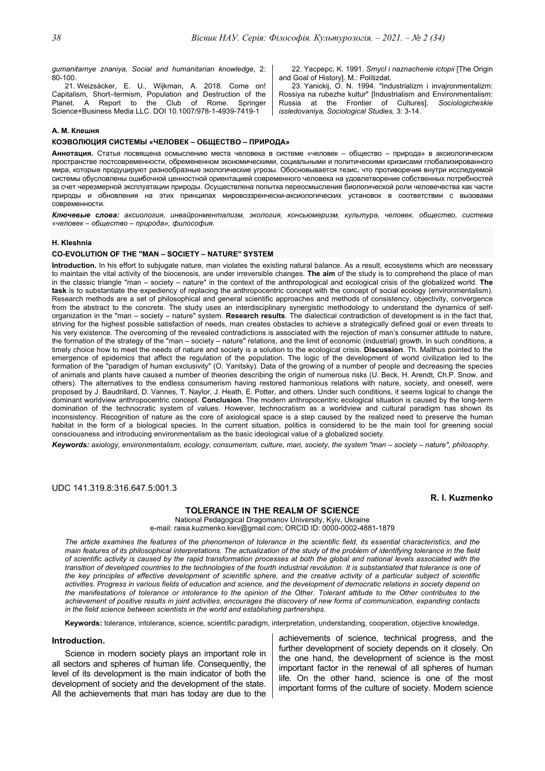*gumanitarnye znaniya, Social and humanitarian knowledge*, 2: 80-100.

21. Weizsäcker, E. U., Wijkman, A. 2018. Come on! Capitalism, Short–termism, Population and Destruction of the Planet. A Report to the Club of Rome. Springer Science+Business Media LLC. DOI 10.1007/978-1-4939-7419-1

22. Yacpepc, K. 1991. *Smycl i naznachenie ictopii* [The Origin and Goal of History]. M.: Politizdat.

23. Yanickij, O. N. 1994. "Industrializm i invajronmentalizm: Rossiya na rubezhe kultur" [Industrialism and Environmentalism: Russia at the Frontier of Cultures]. *Sociologicheskie issledovaniya, Sociological Studies,* 3: 3-14.

### **А. М. Клешня**

## **КОЭВОЛЮЦИЯ СИСТЕМЫ «ЧЕЛОВЕК – ОБЩЕСТВО – ПРИРОДА»**

**Аннотация.** Статья посвящена осмыслению места человека в системе «человек – общество – природа» в аксиологическом пространстве постсовременности, обремененном экономическими, социальными и политическими кризисами глобализированного мира, которые продуцируют разнообразные экологические угрозы. Обосновывается тезис, что противоречия внутри исследуемой системы обусловлены ошибочной ценностной ориентацией современного человека на удовлетворение собственных потребностей за счет черезмерной эксплуатации природы. Осуществлена попытка переосмысления биологической роли человечества как части природы и обновления на этих принципах мировоззренчески-аксиологических установок в соответствии с вызовами современности.

Ключевые слова: аксиология, инвайронментализм, экология, консьюмеризм, культура, человек, общество, система *«человек – общество – природа», философия.* 

#### **H. Kleshnia**

# **CO-EVOLUTION OF THE "MAN – SOCIETY – NATURE" SYSTEM**

**Introduction.** In his effort to subjugate nature, man violates the existing natural balance. As a result, ecosystems which are necessary to maintain the vital activity of the biocenosis, are under irreversible changes. **The aim** of the study is to comprehend the place of man in the classic triangle "man – society – nature" in the context of the anthropological and ecological crisis of the globalized world. **The task** is to substantiate the expediency of replacing the anthropocentric concept with the concept of social ecology (environmentalism). Research methods are a set of philosophical and general scientific approaches and methods of consistency, objectivity, convergence from the abstract to the concrete. The study uses an interdisciplinary synergistic methodology to understand the dynamics of selforganization in the "man – society – nature" system. **Research results**. The dialectical contradiction of development is in the fact that, striving for the highest possible satisfaction of needs, man creates obstacles to achieve a strategically defined goal or even threats to his very existence. The overcoming of the revealed contradictions is associated with the rejection of man's consumer attitude to nature, the formation of the strategy of the "man – society – nature" relations, and the limit of economic (industrial) growth. In such conditions, a timely choice how to meet the needs of nature and society is a solution to the ecological crisis. **Discussion**. Th. Malthus pointed to the emergence of epidemics that affect the regulation of the population. The logic of the development of world civilization led to the formation of the "paradigm of human exclusivity" (O. Yanitsky). Data of the growing of a number of people and decreasing the species of animals and plants have caused a number of theories describing the origin of numerous risks (U. Beck, H. Arendt, Ch.P. Snow, and others). The alternatives to the endless consumerism having restored harmonious relations with nature, society, and oneself, were proposed by J. Baudrillard, D. Vannes, T. Naylor, J. Heath, E. Potter, and others. Under such conditions, it seems logical to change the dominant worldview anthropocentric concept. **Conclusion**. The modern anthropocentric ecological situation is caused by the long-term domination of the technocratic system of values. However, technocratism as a worldview and cultural paradigm has shown its inconsistency. Recognition of nature as the core of axiological space is a step caused by the realized need to preserve the human habitat in the form of a biological species. In the current situation, politics is considered to be the main tool for greening social consciousness and introducing environmentalism as the basic ideological value of a globalized society.

*Keywords: axiology, environmentalism, ecology, consumerism, culture, man, society, the system "man – society – nature", philosophy.* 

UDC 141.319.8:316.647.5:001.3

# **R. I. Kuzmenko**

## **TOLERANCE IN THE REALM OF SCIENCE**

National Pedagogical Dragomanov University, Kyiv, Ukraine e-mail: raisa.kuzmenko.kiev@gmail.com; ORCID ID: 0000-0002-4881-1879

*The article examines the features of the phenomenon of tolerance in the scientific field, its essential characteristics, and the main features of its philosophical interpretations. The actualization of the study of the problem of identifying tolerance in the field of scientific activity is caused by the rapid transformation processes at both the global and national levels associated with the*  transition of developed countries to the technologies of the fourth industrial revolution. It is substantiated that tolerance is one of *the key principles of effective development of scientific sphere, and the creative activity of a particular subject of scientific activities. Progress in various fields of education and science, and the development of democratic relations in society depend on the manifestations of tolerance or intolerance to the opinion of the Other. Tolerant attitude to the Other contributes to the achievement of positive results in joint activities, encourages the discovery of new forms of communication, expanding contacts in the field science between scientists in the world and establishing partnerships.* 

**Keywords:** tolerance, intolerance, science, scientific paradigm, interpretation, understanding, cooperation, objective knowledge.

#### **Introduction.**

Science in modern society plays an important role in all sectors and spheres of human life. Consequently, the level of its development is the main indicator of both the development of society and the development of the state. All the achievements that man has today are due to the achievements of science, technical progress, and the further development of society depends on it closely. On the one hand, the development of science is the most important factor in the renewal of all spheres of human life. On the other hand, science is one of the most important forms of the culture of society. Modern science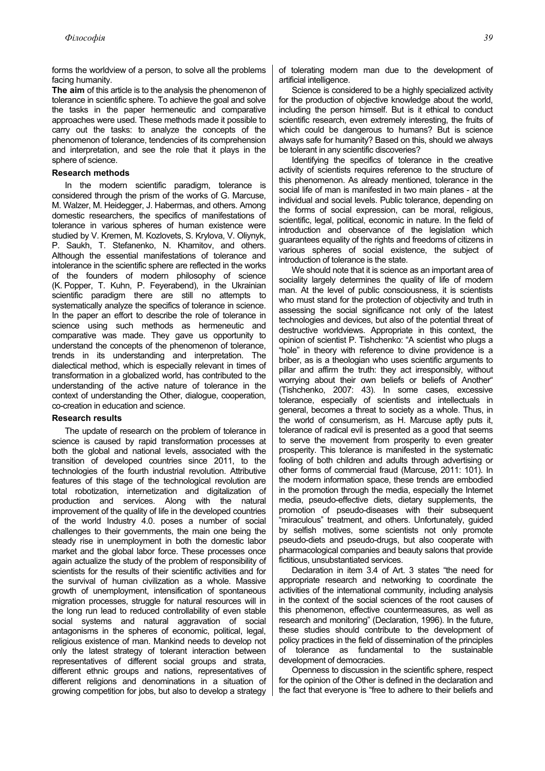forms the worldview of a person, to solve all the problems facing humanity.

**The aim** of this article is to the analysis the phenomenon of tolerance in scientific sphere. To achieve the goal and solve the tasks in the paper hermeneutic and comparative approaches were used. These methods made it possible to carry out the tasks: to analyze the concepts of the phenomenon of tolerance, tendencies of its comprehension and interpretation, and see the role that it plays in the sphere of science.

# **Research methods**

In the modern scientific paradigm, tolerance is considered through the prism of the works of G. Marcuse, M. Walzer, M. Heidegger, J. Habermas, and others. Among domestic researchers, the specifics of manifestations of tolerance in various spheres of human existence were studied by V. Kremen, M. Kozlovets, S. Krylova, V. Oliynyk, P. Saukh, T. Stefanenko, N. Khamitov, and others. Although the essential manifestations of tolerance and intolerance in the scientific sphere are reflected in the works of the founders of modern philosophy of science (K. Popper, T. Kuhn, P. Feyerabend), in the Ukrainian scientific paradigm there are still no attempts to systematically analyze the specifics of tolerance in science. In the paper an effort to describe the role of tolerance in science using such methods as hermeneutic and comparative was made. They gave us opportunity to understand the concepts of the phenomenon of tolerance, trends in its understanding and interpretation. The dialectical method, which is especially relevant in times of transformation in a globalized world, has contributed to the understanding of the active nature of tolerance in the context of understanding the Other, dialogue, cooperation, co-creation in education and science.

# **Research results**

The update of research on the problem of tolerance in science is caused by rapid transformation processes at both the global and national levels, associated with the transition of developed countries since 2011, to the technologies of the fourth industrial revolution. Attributive features of this stage of the technological revolution are total robotization, internetization and digitalization of production and services. Along with the natural improvement of the quality of life in the developed countries of the world Industry 4.0. poses a number of social challenges to their governments, the main one being the steady rise in unemployment in both the domestic labor market and the global labor force. These processes once again actualize the study of the problem of responsibility of scientists for the results of their scientific activities and for the survival of human civilization as a whole. Massive growth of unemployment, intensification of spontaneous migration processes, struggle for natural resources will in the long run lead to reduced controllability of even stable social systems and natural aggravation of social antagonisms in the spheres of economic, political, legal, religious existence of man. Mankind needs to develop not only the latest strategy of tolerant interaction between representatives of different social groups and strata, different ethnic groups and nations, representatives of different religions and denominations in a situation of growing competition for jobs, but also to develop a strategy of tolerating modern man due to the development of artificial intelligence.

Science is considered to be a highly specialized activity for the production of objective knowledge about the world, including the person himself. But is it ethical to conduct scientific research, even extremely interesting, the fruits of which could be dangerous to humans? But is science always safe for humanity? Based on this, should we always be tolerant in any scientific discoveries?

Identifying the specifics of tolerance in the creative activity of scientists requires reference to the structure of this phenomenon. As already mentioned, tolerance in the social life of man is manifested in two main planes - at the individual and social levels. Public tolerance, depending on the forms of social expression, can be moral, religious, scientific, legal, political, economic in nature. In the field of introduction and observance of the legislation which guarantees equality of the rights and freedoms of citizens in various spheres of social existence, the subject of introduction of tolerance is the state.

We should note that it is science as an important area of sociality largely determines the quality of life of modern man. At the level of public consciousness, it is scientists who must stand for the protection of objectivity and truth in assessing the social significance not only of the latest technologies and devices, but also of the potential threat of destructive worldviews. Appropriate in this context, the opinion of scientist P. Tishchenko: "A scientist who plugs a "hole" in theory with reference to divine providence is a briber, as is a theologian who uses scientific arguments to pillar and affirm the truth: they act irresponsibly, without worrying about their own beliefs or beliefs of Another" (Tishchenko, 2007: 43). In some cases, excessive tolerance, especially of scientists and intellectuals in general, becomes a threat to society as a whole. Thus, in the world of consumerism, as H. Marcuse aptly puts it, tolerance of radical evil is presented as a good that seems to serve the movement from prosperity to even greater prosperity. This tolerance is manifested in the systematic fooling of both children and adults through advertising or other forms of commercial fraud (Marcuse, 2011: 101). In the modern information space, these trends are embodied in the promotion through the media, especially the Internet media, pseudo-effective diets, dietary supplements, the promotion of pseudo-diseases with their subsequent "miraculous" treatment, and others. Unfortunately, guided by selfish motives, some scientists not only promote pseudo-diets and pseudo-drugs, but also cooperate with pharmacological companies and beauty salons that provide fictitious, unsubstantiated services.

Declaration in item 3.4 of Art. 3 states "the need for appropriate research and networking to coordinate the activities of the international community, including analysis in the context of the social sciences of the root causes of this phenomenon, effective countermeasures, as well as research and monitoring" (Declaration, 1996). In the future, these studies should contribute to the development of policy practices in the field of dissemination of the principles of tolerance as fundamental to the sustainable development of democracies.

Openness to discussion in the scientific sphere, respect for the opinion of the Other is defined in the declaration and the fact that everyone is "free to adhere to their beliefs and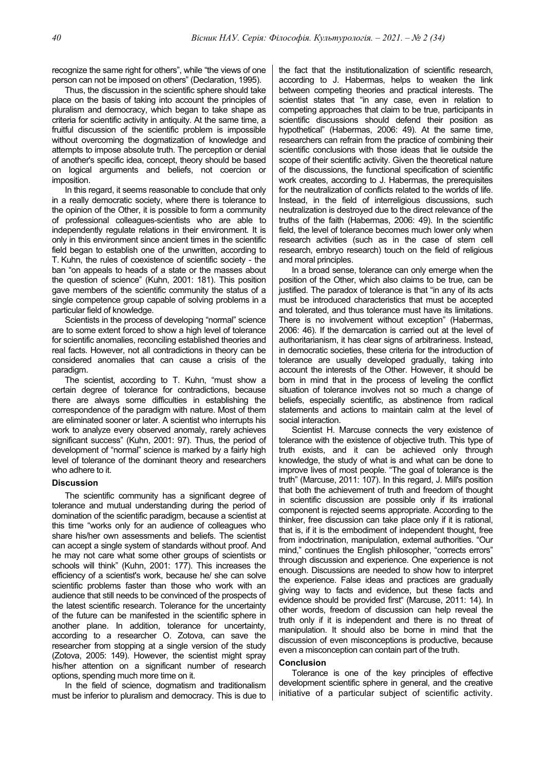recognize the same right for others", while "the views of one person can not be imposed on others" (Declaration, 1995).

Thus, the discussion in the scientific sphere should take place on the basis of taking into account the principles of pluralism and democracy, which began to take shape as criteria for scientific activity in antiquity. At the same time, a fruitful discussion of the scientific problem is impossible without overcoming the dogmatization of knowledge and attempts to impose absolute truth. The perception or denial of another's specific idea, concept, theory should be based on logical arguments and beliefs, not coercion or imposition.

In this regard, it seems reasonable to conclude that only in a really democratic society, where there is tolerance to the opinion of the Other, it is possible to form a community of professional colleagues-scientists who are able to independently regulate relations in their environment. It is only in this environment since ancient times in the scientific field began to establish one of the unwritten, according to T. Kuhn, the rules of coexistence of scientific society - the ban "on appeals to heads of a state or the masses about the question of science" (Kuhn, 2001: 181). This position gave members of the scientific community the status of a single competence group capable of solving problems in a particular field of knowledge.

Scientists in the process of developing "normal" science are to some extent forced to show a high level of tolerance for scientific anomalies, reconciling established theories and real facts. However, not all contradictions in theory can be considered anomalies that can cause a crisis of the paradigm.

The scientist, according to T. Kuhn, "must show a certain degree of tolerance for contradictions, because there are always some difficulties in establishing the correspondence of the paradigm with nature. Most of them are eliminated sooner or later. A scientist who interrupts his work to analyze every observed anomaly, rarely achieves significant success" (Kuhn, 2001: 97). Thus, the period of development of "normal" science is marked by a fairly high level of tolerance of the dominant theory and researchers who adhere to it.

## **Discussion**

The scientific community has a significant degree of tolerance and mutual understanding during the period of domination of the scientific paradigm, because a scientist at this time "works only for an audience of colleagues who share his/her own assessments and beliefs. The scientist can accept a single system of standards without proof. And he may not care what some other groups of scientists or schools will think" (Kuhn, 2001: 177). This increases the efficiency of a scientist's work, because he/ she can solve scientific problems faster than those who work with an audience that still needs to be convinced of the prospects of the latest scientific research. Tolerance for the uncertainty of the future can be manifested in the scientific sphere in another plane. In addition, tolerance for uncertainty, according to a researcher O. Zotova, can save the researcher from stopping at a single version of the study (Zotova, 2005: 149). However, the scientist might spray his/her attention on a significant number of research options, spending much more time on it.

In the field of science, dogmatism and traditionalism must be inferior to pluralism and democracy. This is due to

the fact that the institutionalization of scientific research, according to J. Habermas, helps to weaken the link between competing theories and practical interests. The scientist states that "in any case, even in relation to competing approaches that claim to be true, participants in scientific discussions should defend their position as hypothetical" (Habermas, 2006: 49). At the same time, researchers can refrain from the practice of combining their scientific conclusions with those ideas that lie outside the scope of their scientific activity. Given the theoretical nature of the discussions, the functional specification of scientific work creates, according to J. Habermas, the prerequisites for the neutralization of conflicts related to the worlds of life. Instead, in the field of interreligious discussions, such neutralization is destroyed due to the direct relevance of the truths of the faith (Habermas, 2006: 49). In the scientific field, the level of tolerance becomes much lower only when research activities (such as in the case of stem cell research, embryo research) touch on the field of religious and moral principles.

In a broad sense, tolerance can only emerge when the position of the Other, which also claims to be true, can be justified. The paradox of tolerance is that "in any of its acts must be introduced characteristics that must be accepted and tolerated, and thus tolerance must have its limitations. There is no involvement without exception" (Habermas, 2006: 46). If the demarcation is carried out at the level of authoritarianism, it has clear signs of arbitrariness. Instead, in democratic societies, these criteria for the introduction of tolerance are usually developed gradually, taking into account the interests of the Other. However, it should be born in mind that in the process of leveling the conflict situation of tolerance involves not so much a change of beliefs, especially scientific, as abstinence from radical statements and actions to maintain calm at the level of social interaction.

Scientist H. Marcuse connects the very existence of tolerance with the existence of objective truth. This type of truth exists, and it can be achieved only through knowledge, the study of what is and what can be done to improve lives of most people. "The goal of tolerance is the truth" (Marcuse, 2011: 107). In this regard, J. Mill's position that both the achievement of truth and freedom of thought in scientific discussion are possible only if its irrational component is rejected seems appropriate. According to the thinker, free discussion can take place only if it is rational, that is, if it is the embodiment of independent thought, free from indoctrination, manipulation, external authorities. "Our mind," continues the English philosopher, "corrects errors" through discussion and experience. One experience is not enough. Discussions are needed to show how to interpret the experience. False ideas and practices are gradually giving way to facts and evidence, but these facts and evidence should be provided first" (Marcuse, 2011: 14). In other words, freedom of discussion can help reveal the truth only if it is independent and there is no threat of manipulation. It should also be borne in mind that the discussion of even misconceptions is productive, because even a misconception can contain part of the truth.

## **Conclusion**

Tolerance is one of the key principles of effective development scientific sphere in general, and the creative initiative of a particular subject of scientific activity.